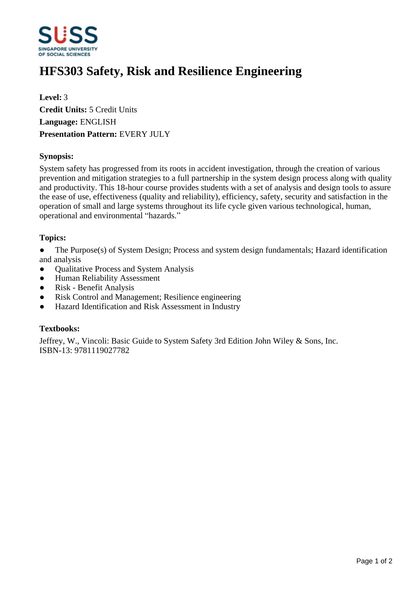

# **HFS303 Safety, Risk and Resilience Engineering**

**Level:** 3 **Credit Units:** 5 Credit Units **Language:** ENGLISH **Presentation Pattern:** EVERY JULY

# **Synopsis:**

System safety has progressed from its roots in accident investigation, through the creation of various prevention and mitigation strategies to a full partnership in the system design process along with quality and productivity. This 18-hour course provides students with a set of analysis and design tools to assure the ease of use, effectiveness (quality and reliability), efficiency, safety, security and satisfaction in the operation of small and large systems throughout its life cycle given various technological, human, operational and environmental "hazards."

# **Topics:**

- The Purpose(s) of System Design; Process and system design fundamentals; Hazard identification and analysis
- Qualitative Process and System Analysis
- Human Reliability Assessment
- ƔRisk Benefit Analysis
- Risk Control and Management; Resilience engineering
- Hazard Identification and Risk Assessment in Industry

#### **Textbooks:**

Jeffrey, W., Vincoli: Basic Guide to System Safety 3rd Edition John Wiley & Sons, Inc. ISBN-13: 9781119027782